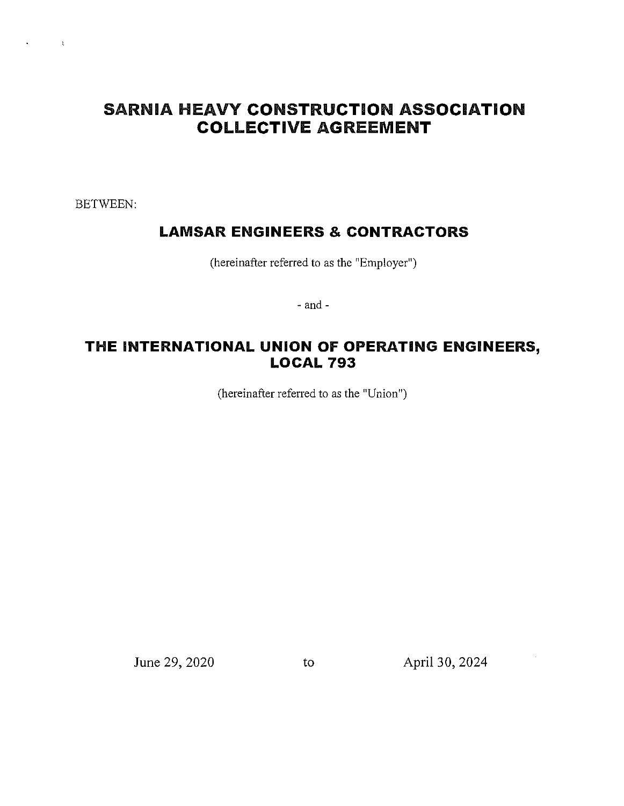## SARNIA HEAVY **CONSTRUCTION ASSOCIATION COLLECTIVE AGREEMENT**

BETWEEN:

 $\label{eq:2.1} \begin{array}{llll} \mathbf{X} & \mathbf{X} & \mathbf{X} \\ & \mathbf{X} & \mathbf{X} \\ \mathbf{X} & \mathbf{X} & \mathbf{X} \\ \end{array}$ 

## **LAMSAR ENGINEERS & CONTRACTORS**

(hereinafter referred to as the "Employer")

- and-

## **THE INTERNATIONAL UNION OF OPERATING ENGINEERS, LOCAL 793**

(hereinafter referred to as the "Union")

June 29, 2020 to April 30, 2024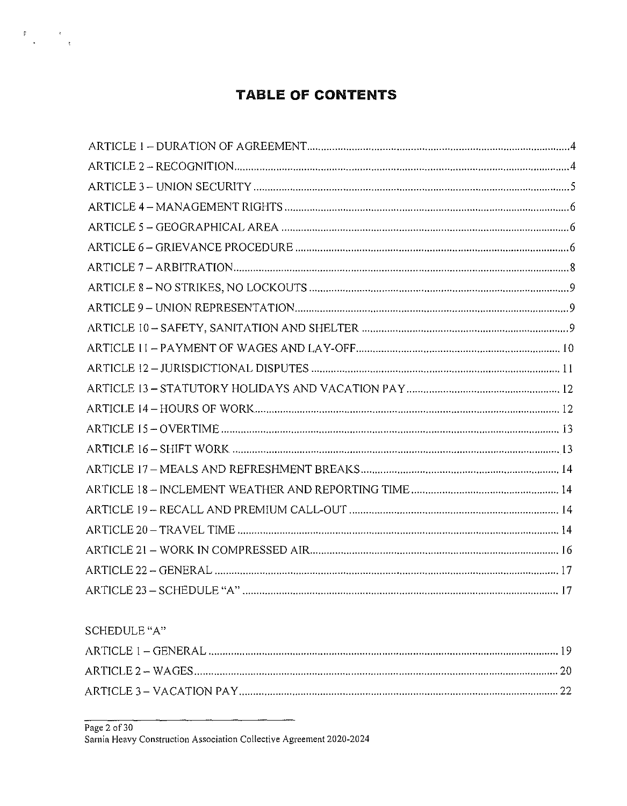## **TABLE OF CONTENTS**

SCHEDULE "A"

# Page 2 of 30

Sarnia Heavy Construction Association Collective Agreement 2020-2024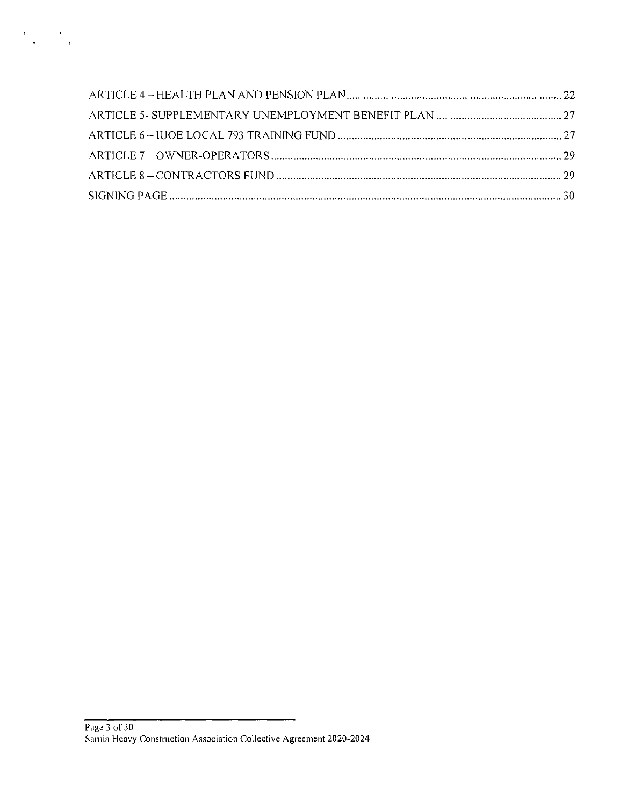$\begin{array}{ccccc} & & & & & \\ & & & & & \\ & & & & & \\ & & & & & & \\ & & & & & & \\ \end{array}$ 

 $\mathcal{L}^{\mathcal{L}}$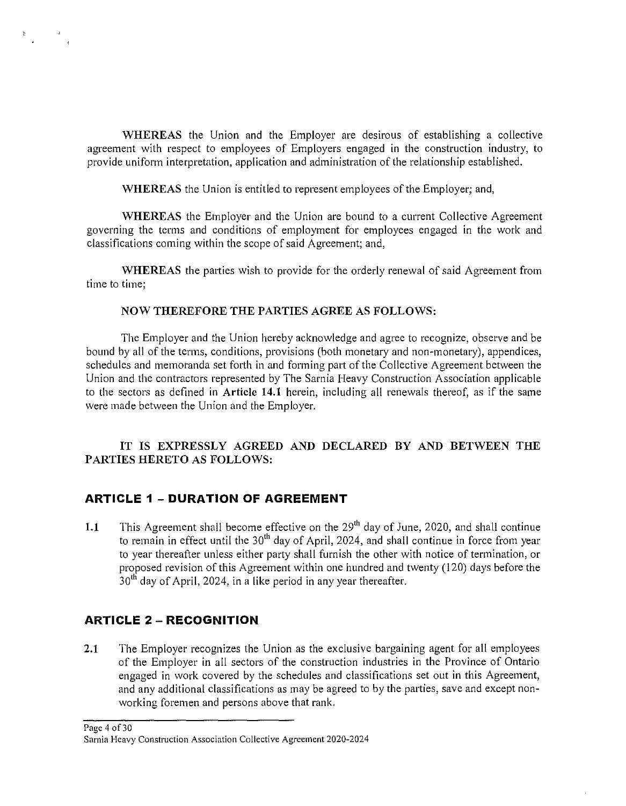**WHEREAS** the Union and the Employer are desirous of establishing a collective agreement with respect to employees of Employers engaged **in** the construction industry, to provide uniform interpretation, application and administration of the relationship established.

**WHEREAS** the Union is entitled to represent employees of the Employer; and,

**WHEREAS** the Employer and the Union are bound to a current Collective Agreement governing the terms and conditions of employment for employees engaged in the work and classifications coming within the scope of said Agreement; and,

**WHEREAS** the parties wish to provide for the orderly renewal of said Agreement from time to time;

#### **NOW THEREFORE THE PARTIES AGREE AS FOLLOWS:**

The Employer and the Union hereby acknowledge and agree to recognize, observe and be bound by all of the terms, conditions, provisions (both monetary and non-monetary), appendices, schedules and memoranda set forth in and forming part of the Collective Agreement between the Union and the contractors represented by The Sarnia Heavy Construction Association applicable to the sectors as defined **in Article 14.1** herein, including all renewals thereof, as if the same were made between the Union and the Employer.

#### **IT IS EXPRESSLY AGREED AND DECLARED BY AND BETWEEN THE PARTIES HERETO AS FOLLOWS:**

#### **ARTICLE 1 - DURATION OF AGREEMENT**

**1.1** This Agreement shall become effective on the 29<sup>th</sup> day of June, 2020, and shall continue to remain in effect until the  $30<sup>th</sup>$  day of April, 2024, and shall continue in force from year to year thereafter unless either party shall furnish the other with notice of termination, or proposed revision of this Agreement within one hundred and twenty (120) days before the  $30<sup>th</sup>$  day of April, 2024, in a like period in any year thereafter.

#### **ARTICLE 2 - RECOGNITION**

**2.1** The Employer recognizes the Union as the exclusive bargaining agent for all employees of the Employer in all sectors of the construction industries in the Province of Ontario engaged in work covered by the schedules and classifications set out in this Agreement, and any additional classifications as may be agreed to by the parties, save and except nonworking foremen and persons above that rank.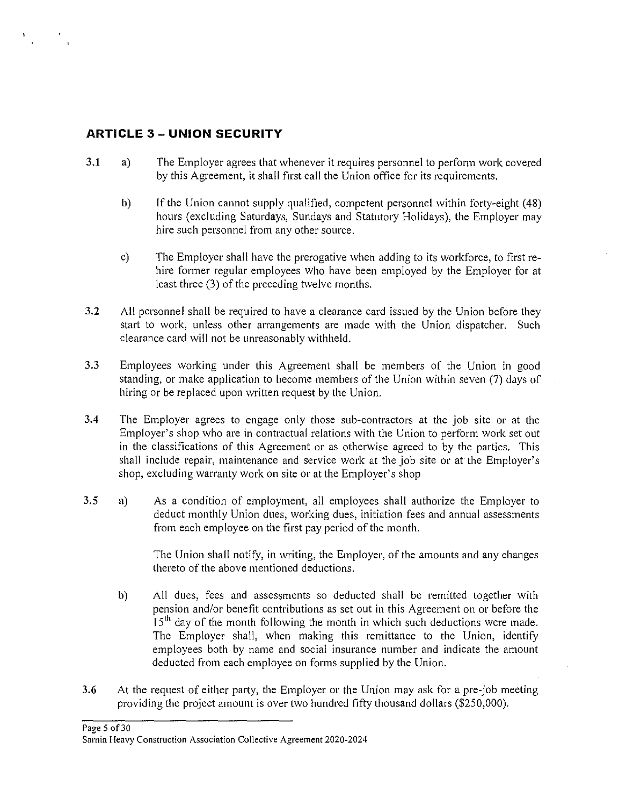## **ARTICLE 3 - UNION SECURITY**

- **3.1** a) The Employer agrees that whenever it requires personnel to perform work covered by this Agreement, it shall first call the Union office for its requirements.
	- **b)** If the Union cannot supply qualified, competent personnel within forty-eight (48) hours (excluding Saturdays, Sundays and Statutory Holidays), the Employer may hire such personnel from any other source.
	- c) The Employer shall have the prerogative when adding to its workforce, to first rehire former regular employees who have been employed by the Employer for at least three (3) of the preceding twelve months.
- 3.2 All personnel shall be required to have a clearance card issued by the Union before they start to work, unless other arrangements are made with the Union dispatcher. Such clearance card will not be unreasonably withheld.
- 3.3 Employees working under this Agreement shall be members of the Union in good standing, or make application to become members of the Union within seven (7) days of hiring or be replaced upon written request by the Union.
- **3.4** The Employer agrees to engage only those sub-contractors at the job site or at the Employer's shop who are in contractual relations with the Union to perform work set out in the classifications of this Agreement or as otherwise agreed to by the parties. This shall include repair, maintenance and service work at the job site or at the Employer's shop, excluding warranty work on site or at the Employer's shop
- 3.5 **a)** As a condition of employment, all employees shall authorize the Employer to deduct monthly Union dues, working dues, initiation fees and annual assessments from each employee on the first pay period of the month.

The Union shall notify, in writing, the Employer, of the amounts and any changes thereto of the above mentioned deductions.

- **b)** All dues, fees and assessments so deducted shall be remitted together with pension and/or benefit contributions as set out in this Agreement on or before the  $15<sup>th</sup>$  day of the month following the month in which such deductions were made. The Employer shall, when making this remittance to the Union, identify employees both by name and social insurance number and indicate the amount deducted from each employee on forms supplied by the Union.
- 3.6 At the request of either party, the Employer or the Union may ask for a pre-job meeting providing the project amount is over two hundred fifty thousand dollars (\$250,000).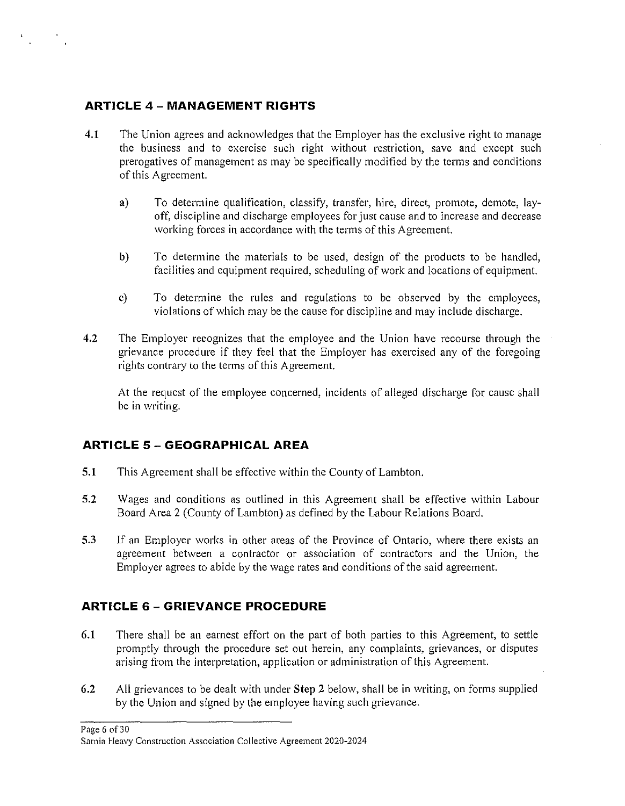#### **ARTICLE 4 - MANAGEMENT RIGHTS**

- **4.1** The Union agrees and acknowledges that the Employer has the exclusive right to manage the business and to exercise such right without restriction, save and except such prerogatives of management as may be specifically modified by the terms and conditions of this Agreement.
	- a) To determine qualification, classify, transfer, hire, direct, promote, demote, layoff, discipline and discharge employees for just cause and to increase and decrease working forces in accordance with the terms of this Agreement.
	- b) To determine the materials to be used, design of the products to be handled, facilities and equipment required, scheduling of work and locations of equipment.
	- c) To determine the rules and regulations to be observed by the employees, violations of which may be the cause for discipline and may include discharge.
- **4.2** The Employer recognizes that the employee and the Union have recourse through the grievance procedure if they feel that the Employer has exercised any of the foregoing rights contrary to the terms of this Agreement.

At the request of the employee concerned, incidents of alleged discharge for cause shall be in writing.

## **ARTICLE 5 - GEOGRAPHICAL AREA**

- **5.1** This Agreement shall be effective within the County of Lambton.
- 5.2 Wages and conditions as outlined in this Agreement shall be effective within Labour Board Area 2 (County of Lambton) as defined by the Labour Relations Board.
- 5.3 If an Employer works in other areas of the Province of Ontario, where there exists an agreement between a contractor or association of contractors and the Union, the Employer agrees to abide by the wage rates and conditions of the said agreement.

## **ARTICLE 6 - GRIEVANCE PROCEDURE**

- **6.1** There shall be an earnest effort on the part of both parties to this Agreement, to settle promptly through the procedure set out herein, any complaints, grievances, or disputes arising from the interpretation, application or administration of this Agreement.
- 6.2 All grievances to be dealt with under **Step** 2 below, shall be in writing, on forms supplied by the Union and signed by the employee having such grievance.

Page 6 of 30 Sarnia Heavy Construction Association Collective Agreement 2020-2024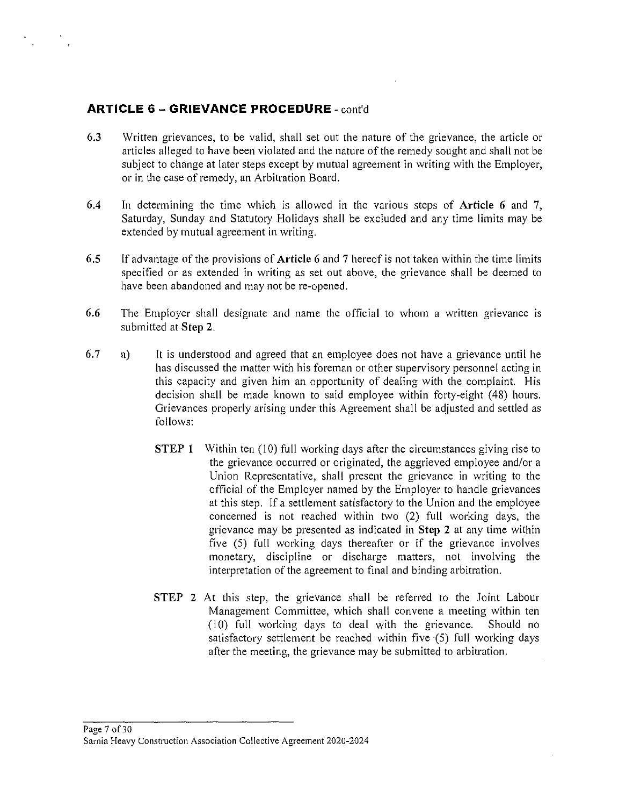#### **ARTICLE 6 - GRIEVANCE PROCEDURE** - cont'd

- 6.3 Written grievances, to be valid, shall set out the nature of the grievance, the article or articles alleged to have been violated and the nature of the remedy sought and shall not be subject to change at later steps except by mutual agreement in writing with the Employer, or in the case of remedy, an Arbitration Board.
- 6,4 In determining the time which is allowed in the various steps of Article 6 and 7, Saturday, Sunday and Statutory Holidays shall be excluded and any time limits may be extended by mutual agreement in writing.
- 6.5 If advantage of the provisions of Article 6 and 7 hereof is not taken within the time limits specified or as extended in writing as set out above, the grievance shall be deemed to have been abandoned and may not be re-opened.
- 6.6 The Employer shall designate and name the official to whom a written grievance is submitted at Step 2.
- 6.7 a) It is understood and agreed that an employee does not have a grievance until he has discussed the matter with his foreman or other supervisory personnel acting in this capacity and given him an opportunity of dealing with the complaint. His decision shall be made known to said employee within forty-eight (48) hours. Grievances properly arising under this Agreement shall be adjusted and settled as follows:
	- STEP 1 Within ten (10) full working days after the circumstances giving rise to the grievance occurred or originated, the aggrieved employee and/or a Union Representative, shall present the grievance in writing to the official of the Employer named by the Employer to handle grievances at this step. If a settlement satisfactory to the Union and the employee concerned is not reached within two (2) full working days, the grievance may be presented as indicated in Step 2 at any time within five (5) full working days thereafter or if the grievance involves monetary, discipline or discharge matters, not involving the interpretation of the agreement to final and binding arbitration.
	- STEP 2 At this step, the grievance shall be referred to the Joint Labour Management Committee, which shall convene a meeting within ten  $(10)$  full working days to deal with the grievance. Should no satisfactory settlement be reached within five (5) full working days after the meeting, the grievance may be submitted to arbitration.

#### Page 7 of 30 Sarnia Heavy Construction Association Collective Agreement 2020-2024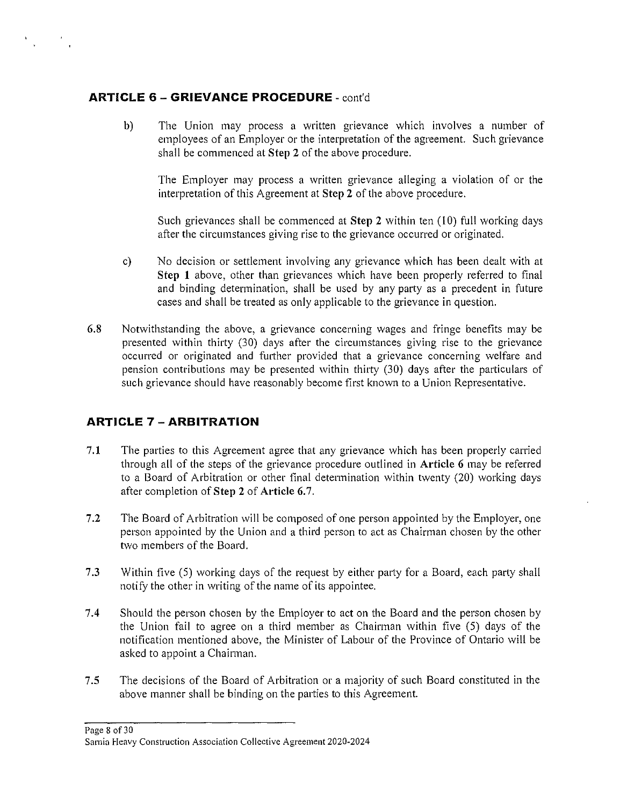## **ARTICLE 6 - GRIEVANCE PROCEDURE-** cont'd

**b)** The Union may process a written grievance which involves a number of employees of an Employer or the interpretation of the agreement. Such grievance shall be commenced at **Step 2** of the above procedure.

The Employer may process a written grievance alleging a violation of or the interpretation of this Agreement at **Step 2** of the above procedure.

Such grievances shall be commenced at Step 2 within ten (10) full working days after the circumstances giving rise to the grievance occurred or originated.

- c) No decision or settlement involving any grievance which has been dealt with at **Step 1** above, other than grievances which have been properly referred to final and binding determination, shall be used by any party as a precedent in future cases and shall be treated as only applicable to the grievance in question.
- 6.8 Notwithstanding the above, a grievance concerning wages and fringe benefits may be presented within thirty (30) days after the circumstances giving rise to the grievance occurred or originated and further provided that a grievance concerning welfare and pension contributions may be presented within thirty (30) days after the particulars of such grievance should have reasonably become first known to a Union Representative.

## **ARTICLE 7 - ARBITRATION**

- **7.1** The parties to this Agreement agree that any grievance which has been properly carried through all of the steps of the grievance procedure outlined in **Article** 6 may be referred to a Board of Arbitration or other final determination within twenty (20) working days after completion of **Step 2 of Article** 6.7.
- **7.2** The Board of Arbitration will be composed of one person appointed by the Employer, one person appointed by the Union and a third person to act as Chairman chosen by the other two members of the Board.
- 7.3 Within five (5) working days of the request by either party for a Board, each party shall notify the other in writing of the name of its appointee.
- **7.4** Should the person chosen by the Employer to act on the Board and the person chosen by the Union fail to agree on a third member as Chairman within five (5) days of the notification mentioned above, the Minister of Labour of the Province of Ontario will be asked to appoint a Chairman.
- 7.5 The decisions of the Board of Arbitration or a majority of such Board constituted in the above manner shall be binding on the parties to this Agreement.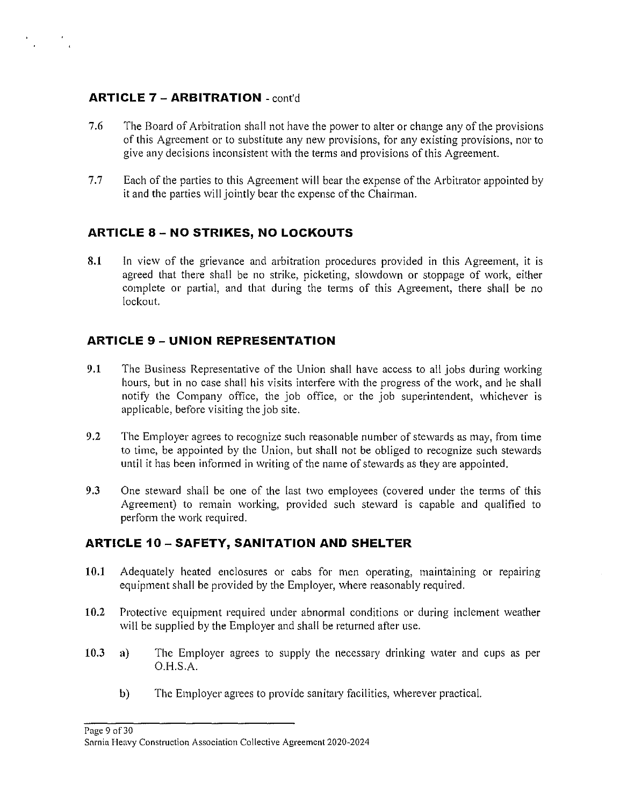## **ARTICLE 7 - ARBITRATION** - cont'd

 $\frac{1}{\sqrt{2}}\int_{\mathbb{R}^{2}}\frac{dx}{\sqrt{2\pi}}\left(\frac{dx}{\sqrt{2\pi}}\right)^{2}dx$ 

- 7.6 The Board of Arbitration shall not have the power to alter or change any of the provisions of this Agreement or to substitute any new provisions, for any existing provisions, nor to give any decisions inconsistent with the terms and provisions of this Agreement.
- 7.7 Each of the parties to this Agreement will bear the expense of the Arbitrator appointed by it and the parties will jointly bear the expense of the Chairman.

## **ARTICLE 8 - NO STRIKES, NO LOCKOUTS**

**8.1** In view of the grievance and arbitration procedures provided in this Agreement, it is agreed that there shall be no strike, picketing, slowdown or stoppage of work, either complete or partial, and that during the terms of this Agreement, there shall be no lockout.

## **ARTICLE 9 - UNION REPRESENTATION**

- **9.1** The Business Representative of the Union shall have access to all jobs during working hours, but in no case shall his visits interfere with the progress of the work, and he shall notify the Company office, the job office, or the job superintendent, whichever is applicable, before visiting the job site.
- 9.2 The Employer agrees to recognize such reasonable number of stewards as may, from time to time, be appointed by the Union, but shall not be obliged to recognize such stewards until it has been informed in writing of the name of stewards as they are appointed.
- 9.3 One steward shall be one of the last two employees (covered under the terms of this Agreement) to remain working, provided such steward is capable and qualified to perform the work required.

## **ARTICLE 10 - SAFETY, SANITATION AND SHELTER**

- **10.l** Adequately heated enclosures or cabs for men operating, maintaining or repairing equipment shall be provided by the Employer, where reasonably required.
- 10.2 Protective equipment required under abnormal conditions or during inclement weather will be supplied by the Employer and shall be returned after use.
- **10.3 a)** The Employer agrees to supply the necessary drinking water and cups as per 0.H.S.A.
	- **b)** The Employer agrees to provide sanitary facilities, wherever practical.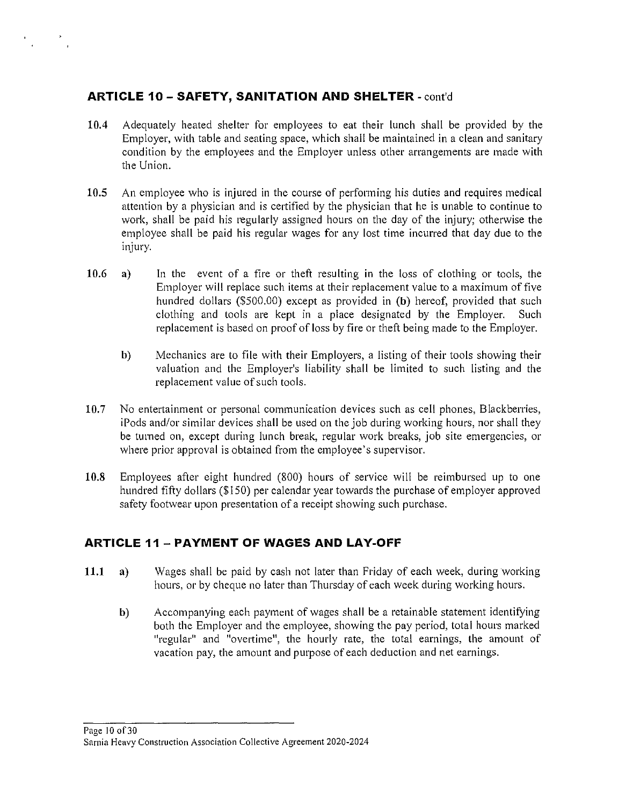## **ARTICLE 10 - SAFETY, SANITATION AND SHELTER** - cont'd

- 10.4 Adequately heated shelter for employees to eat their lunch shall be provided by the Employer, with table and seating space, which shall be maintained in a clean and sanitary condition by the employees and the Employer unless other arrangements are made with the Union.
- 10.5 An employee who is injured in the course of performing his duties and requires medical attention by a physician and is certified by the physician that he is unable to continue to work, shall be paid his regularly assigned hours on the day of the injury; otherwise the employee shall be paid his regular wages for any lost time incurred that day due to the injury.
- 10.6 a) In the event of a fire or theft resulting in the loss of clothing or tools, the Employer will replace such items at their replacement value to a maximum of five hundred dollars (\$500.00) except as provided in **(b)** hereof, provided that such clothing and tools are kept in a place designated by the Employer. Such replacement is based on proof of loss by fire or theft being made to the Employer.
	- **b)** Mechanics are to file with their Employers, a listing of their tools showing their valuation and the Employer's liability shall be limited to such listing and the replacement value of such tools.
- 10.7 No entertainment or personal communication devices such as cell phones, Black berries, iPods and/or similar devices shall be used on the job during working hours, nor shall they be turned on, except during lunch break, regular work breaks, job site emergencies, or where prior approval is obtained from the employee's supervisor.
- 10.8 Employees after eight hundred (800) hours of service will be reimbursed up to one hundred fifty dollars (\$150) per calendar year towards the purchase of employer approved safety footwear upon presentation of a receipt showing such purchase.

## **ARTICLE 11 - PAYMENT OF WAGES AND LAY-OFF**

- **11.1** a) Wages shall be paid by cash not later than Friday of each week, during working hours, or by cheque no later than Thursday of each week during working hours.
	- **b)** Accompanying each payment of wages shall be a retainable statement identifying both the Employer and the employee, showing the pay period, total hours marked "regular" and "overtime", the hourly rate, the total earnings, the amount of vacation pay, the amount and purpose of each deduction and net earnings.

**Page 10 of30 Sarnia Heavy Construction Association Collective Agreement 2020-2024**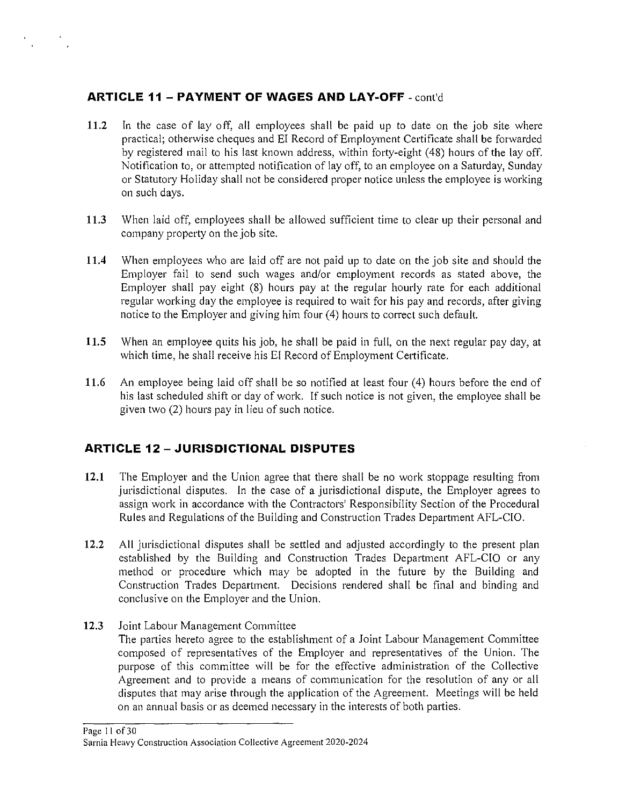## **ARTICLE 11 - PAYMENT OF WAGES AND LAY-OFF** - cont'd

- **11.2** In the case of lay off, all employees shall be paid up to date on the job site where practical; otherwise cheques and El Record of Employment Certificate shall be forwarded by registered mail to his last known address, within forty-eight ( 48) hours of the lay off. Notification to, or attempted notification of lay off, to an employee on a Saturday, Sunday or Statutory Holiday shall not be considered proper notice unless the employee is working on such days.
- **11.3** When laid off, employees shall be allowed sufficient time to clear up their personal and company property on the job site.
- **11.4** When employees who are laid off are not paid up to date on the job site and should the Employer fail to send such wages and/or employment records as stated above, the Employer shall pay eight (8) hours pay at the regular hourly rate for each additional regular working day the employee is required to wait for his pay and records, after giving notice to the Employer and giving him four (4) hours to correct such default.
- **11.5** When an employee quits his job, he shall be paid in full, on the next regular pay day, at which time, he shall receive his EI Record of Employment Certificate.
- **11.6** An employee being laid off shall be so notified at least four (4) hours before the end of his last scheduled shift or day of work. If such notice is not given, the employee shall be given two (2) hours pay in lieu of such notice.

## **ARTICLE 12 - JURISDICTIONAL DISPUTES**

- **12.1** The Employer and the Union agree that there shall be no work stoppage resulting from jurisdictional disputes. In the case of a jurisdictional dispute, the Employer agrees to assign work in accordance with the Contractors' Responsibility Section of the Procedural Rules and Regulations of the Building and Construction Trades Department AFL-CIO.
- **12.2** All jurisdictional disputes shall be settled and adjusted accordingly to the present plan established by the Building and Construction Trades Department AFL-CIO or any method or procedure which may be adopted in the future by the Building and Construction Trades Department. Decisions rendered shall be final and binding and conclusive on the Employer and the Union.
- **12.3** Joint Labour Management Committee The parties hereto agree to the establishment of a Joint Labour Management Committee composed of representatives of the Employer and representatives of the Union. The purpose of this committee will be for the effective administration of the Collective Agreement and to provide a means of communication for the resolution of any or all disputes that may arise through the application of the Agreement. Meetings will be held on an annual basis or as deemed necessary in the interests of both parties.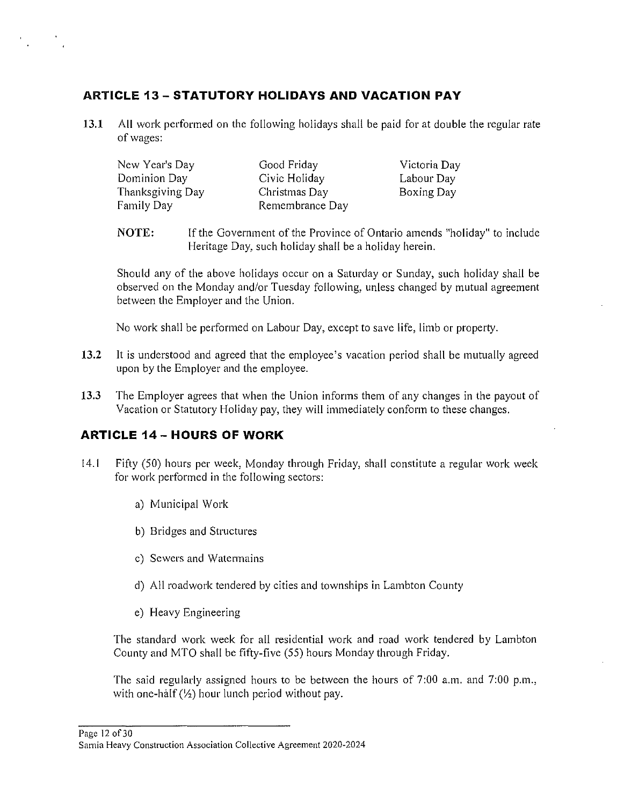## **ARTICLE 13 - STATUTORY HOLIDAYS AND VACATION PAY**

**13.1** All work performed on the following holidays shall be paid for at double the regular rate of wages:

| New Year's Day   | Good Friday     | Victoria Day |
|------------------|-----------------|--------------|
| Dominion Day     | Civic Holiday   | Labour Day   |
| Thanksgiving Day | Christmas Day   | Boxing Day   |
| Family Day       | Remembrance Day |              |

**NOTE:** If the Government of the Province of Ontario amends "holiday" to include Heritage Day, such holiday shall be a holiday herein.

Should any of the above holidays occur on a Saturday or Sunday, such holiday shall be observed on the Monday and/or Tuesday following, unless changed by mutual agreement between the Employer and the Union.

No work shall be performed on Labour Day, except to save life, limb or property.

- **13.2** It is understood and agreed that the employee's vacation period shall be mutually agreed upon by the Employer and the employee.
- **13.3** The Employer agrees that when the Union informs them of any changes in the payout of Vacation or Statutory Holiday pay, they will immediately conform to these changes.

## **ARTICLE 14 - HOURS OF WORK**

- 14.1 Fifty (50) hours per week, Monday through Friday, shall constitute a regular work week for work performed in the following sectors:
	- a) Municipal Work
	- b) Bridges and Structures
	- c) Sewers and Watermains
	- d) All roadwork tendered by cities and townships in Lambton County
	- e) Heavy Engineering

The standard work week for all residential work and road work tendered by Lambton County and MTO shall be fifty-five (55) hours Monday through Friday.

The said regularly assigned hours to be between the hours of 7:00 a.m. and 7:00 p.m., with one-half  $(\frac{1}{2})$  hour lunch period without pay.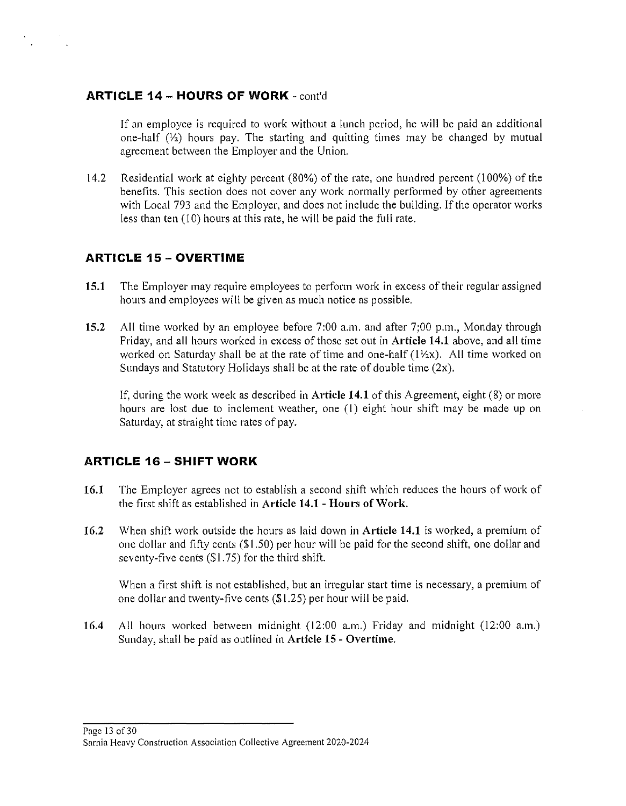#### **ARTICLE 14 - HOURS OF WORK** - cont'd

If an employee is required to work without a lunch period, he will be paid an additional one-half  $(\frac{1}{2})$  hours pay. The starting and quitting times may be changed by mutual agreement between the Employer and the Union.

14.2 Residential work at eighty percent (80%) of the rate, one hundred percent (100%) of the benefits. This section does not cover any work normally performed by other agreements with Local 793 and the Employer, and does not include the building. If the operator works less than ten (10) hours at this rate, he will be paid the full rate.

## **ARTICLE 15 - OVERTIME**

- **15.1** The Employer may require employees to perform work in excess of their regular assigned hours and employees will be given as much notice as possible.
- **15.2** All time worked by an employee before 7:00 a.m. and after 7;00 p.m., Monday through Friday, and all hours worked in excess of those set out in **Article 14.1** above, and all time worked on Saturday shall be at the rate of time and one-half  $(1/2x)$ . All time worked on Sundays and Statutory Holidays shall be at the rate of double time (2x).

[f, during the work week as described in **Article 14.1** of this Agreement, eight (8) or more hours are lost due to inclement weather, one (I) eight hour shift may be made up on Saturday, at straight time rates of pay.

#### **ARTICLE 16 - SHIFT WORK**

- **16.1** The Employer agrees not to establish a second shift which reduces the hours of work of the first shift as established in **Article 14.1 - Hours of Work.**
- **16.2** When shift work outside the hours as laid down in **Article 14.1** is worked, a premium of one dollar and fifty cents (\$1.50) per hour will be paid for the second shift, one dollar and seventy-five cents (\$1.75) for the third shift.

When a first shift is not established, but an irregular start time is necessary, a premium of one dollar and twenty-five cents(\$ l.25) per hour will be paid.

**16.4** All hours worked between midnight (12:00 a.m.) Friday and midnight (12:00 a.m.) Sunday, shall be paid as outlined in **Article 15 - Overtime.** 

**Page 13 of30**  Sarnia Heavy Construction Association Collective Agreement 2020-2024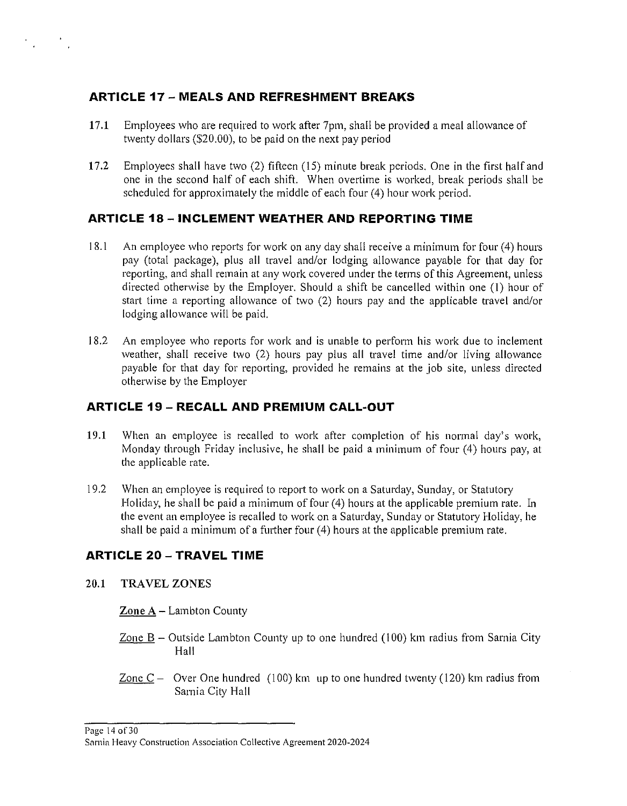## **ARTICLE 17- MEALS AND REFRESHMENT BREAKS**

- 17.1 Employees who are required to work after 7pm, shall be provided a meal allowance of twenty dollars (\$20.00), to be paid on the next pay period
- 17.2 Employees shall have two (2) fifteen (15) minute break periods. One in the first half and one in the second half of each shift. When overtime is worked, break periods shall be scheduled for approximately the middle of each four (4) hour work period.

## **ARTICLE 18- INCLEMENT WEATHER AND REPORTING TIME**

- 18.1 An employee who reports for work on any day shall receive a minimum for four (4) hours pay (total package), plus all travel and/or lodging allowance payable for that day for reporting, and shall remain at any work covered under the terms of this Agreement, unless directed otherwise by the Employer. Should a shift be cancelled within one (I) hour of start time a reporting allowance of two (2) hours pay and the applicable travel and/or lodging allowance will be paid.
- 18.2 An employee who reports for work and is unable to perform his work due to inclement weather, shall receive two (2) hours pay plus all travel time and/or living allowance payable for that day for reporting, provided he remains at the job site, unless directed otherwise by the Employer

## **ARTICLE 19 - RECALL AND PREMIUM CALL-OUT**

- 19.1 When an employee is recalled to work after completion of his normal day's work, Monday through Friday inclusive, he shall be paid a minimum of four (4) hours pay, at the applicable rate.
- 19.2 When an employee is required to report to work on a Saturday, Sunday, or Statutory Holiday, he shall be paid a minimum of four (4) hours at the applicable premium rate. In the event an employee is recalled to work on a Saturday, Sunday or Statutory Holiday, he shall be paid a minimum of a further four  $(4)$  hours at the applicable premium rate.

## **ARTICLE 20-TRAVEL TIME**

20.1 TRAVEL ZONES

 $\label{eq:2.1} \frac{1}{2} \int_{\mathbb{R}^3} \frac{1}{\sqrt{2\pi}} \left( \frac{1}{\sqrt{2\pi}} \right)^2 \frac{1}{\sqrt{2\pi}} \, \frac{1}{\sqrt{2\pi}} \, \frac{1}{\sqrt{2\pi}} \, \frac{1}{\sqrt{2\pi}} \, \frac{1}{\sqrt{2\pi}} \, \frac{1}{\sqrt{2\pi}} \, \frac{1}{\sqrt{2\pi}} \, \frac{1}{\sqrt{2\pi}} \, \frac{1}{\sqrt{2\pi}} \, \frac{1}{\sqrt{2\pi}} \, \frac{1}{\sqrt{2\pi}} \, \frac{1}{\sqrt$ 

Zone  $A -$ Lambton County

- Zone  $B -$  Outside Lambton County up to one hundred (100) km radius from Sarnia City Hall
- Zone  $C -$  Over One hundred (100) km up to one hundred twenty (120) km radius from Sarnia City Hall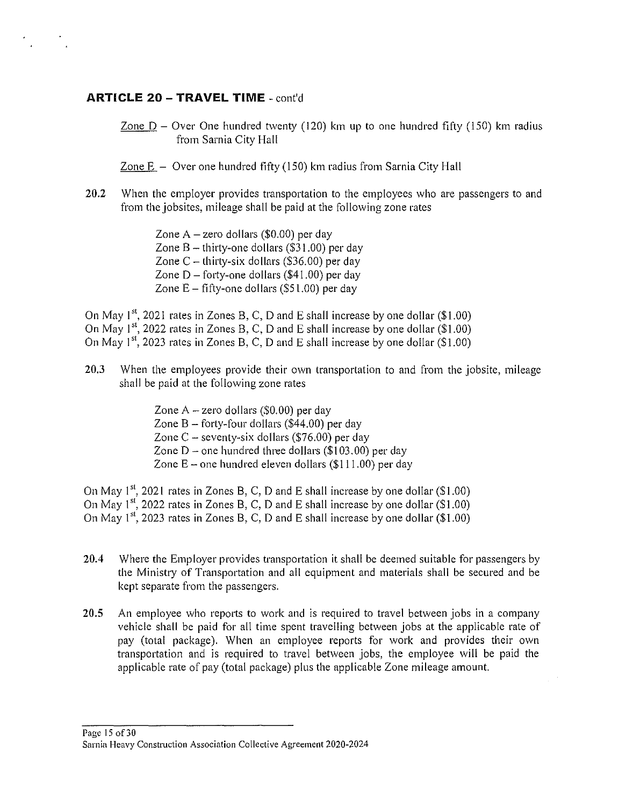#### **ARTICLE 20 - TRAVEL TIME** - cont'd

- Zone  $D -$  Over One hundred twenty (120) km up to one hundred fifty (150) km radius from Sarnia City Hall
- Zone  $E -$  Over one hundred fifty (150) km radius from Sarnia City Hall
- 20.2 When the employer provides transportation to the employees who are passengers to and from the jobsites, mileage shall be paid at the following zone rates
	- Zone  $A$  zero dollars (\$0.00) per day Zone  $B$  – thirty-one dollars (\$31.00) per day Zone  $C$  – thirty-six dollars (\$36.00) per day Zone  $D$  – forty-one dollars (\$41.00) per day Zone  $E - f$ ifty-one dollars (\$51.00) per day

On May  $1^{st}$ , 2021 rates in Zones B, C, D and E shall increase by one dollar (\$1.00) On May  $1^{st}$ , 2022 rates in Zones B, C, D and E shall increase by one dollar (\$1.00) On May  $1^{st}$ , 2023 rates in Zones B, C, D and E shall increase by one dollar (\$1.00)

- 20.3 When the employees provide their own transportation to and from the jobsite, mileage shall be paid at the following zone rates
	- Zone  $A$  zero dollars (\$0.00) per day Zone  $B$  – forty-four dollars (\$44.00) per day Zone  $C$  – seventy-six dollars (\$76.00) per day Zone  $D$  – one hundred three dollars (\$103.00) per day Zone  $E$  – one hundred eleven dollars (\$111.00) per day

On May 1<sup>st</sup>, 2021 rates in Zones B, C, D and E shall increase by one dollar (\$1.00) On May  $1^{st}$ , 2022 rates in Zones B, C, D and E shall increase by one dollar (\$1.00) On May 1<sup>st</sup>, 2023 rates in Zones B, C, D and E shall increase by one dollar (\$1.00)

- 20.4 Where the Employer provides transportation it shall be deemed suitable for passengers by the Ministry of Transportation and all equipment and materials shall be secured and be kept separate from the passengers.
- 20.5 An employee who reports to work and is required to travel between jobs in a company vehicle shall be paid for all time spent travelling between jobs at the applicable rate of pay (total package). When an employee reports for work and provides their own transportation and is required to travel between jobs, the employee will be paid the applicable rate of pay (total package) plus the applicable Zone mileage amount.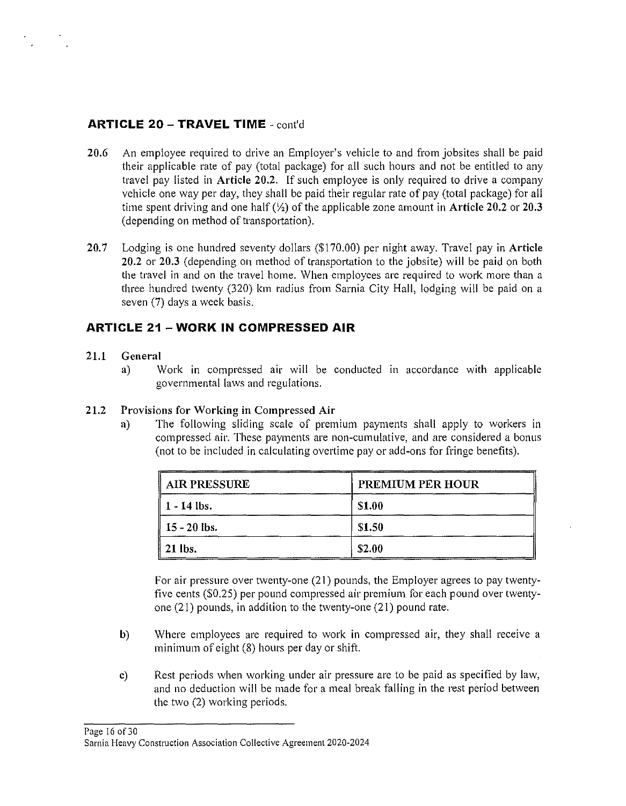## **ARTICLE 20 - TRAVEL TIME** - cont'd

- 20.6 An employee required to drive an Employer's vehicle to and from jobsites shall be paid their applicable rate of pay (total package) for all such hours and not be entitled to any travel pay listed in Article 20.2. If such employee is only required to drive a company vehicle one way per day, they shall be paid their regular rate of pay (total package) for all time spent driving and one half  $\binom{1}{2}$  of the applicable zone amount in Article 20.2 or 20.3 (depending on method of transportation).
- 20.7 Lodging is one hundred seventy dollars (\$170.00) per night away. Travel pay in Article 20.2 or 20.3 (depending on method of transportation to the jobsite) will be paid on both the travel in and on the travel home. When employees are required to work more than a three hundred twenty (320) km rndius from Sarnia City Hall, lodging will be paid on a seven (7) days a week basis.

## **ARTICLE 21 - WORK IN COMPRESSED AIR**

#### 21.1 General

a) Work in compressed air will be conducted in accordance with applicable governmental laws and regulations.

#### 21.2 Provisions for Working in Compressed Air

a) The following sliding scale of premium payments shall apply to workers in compressed air. These payments are non-cumulative, and are considered a bonus (not to be included in calculating overtime pay or add-ons for fringe benefits).

| <b>AIR PRESSURE</b> | <b>PREMIUM PER HOUR</b> |
|---------------------|-------------------------|
| 1 - 14 Ibs.         | \$1.00                  |
| 15 - 20 lbs.        | \$1.50                  |
| $\parallel$ 21 lbs. | \$2.00                  |

For air pressure over twenty-one (21) pounds, the Employer agrees to pay twentyfive cents (\$0.25) per pound compressed air premium for each pound over twentyone (21) pounds, in addition to the twenty-one (21) pound rate.

- b) Where employees are required to work in compressed air, they shall receive a minimum of eight (8) hours per day or shift.
- c) Rest periods when working under air pressure are to be paid as specified by law, and no deduction will be made for a meal break falling in the rest period between the two (2) working periods.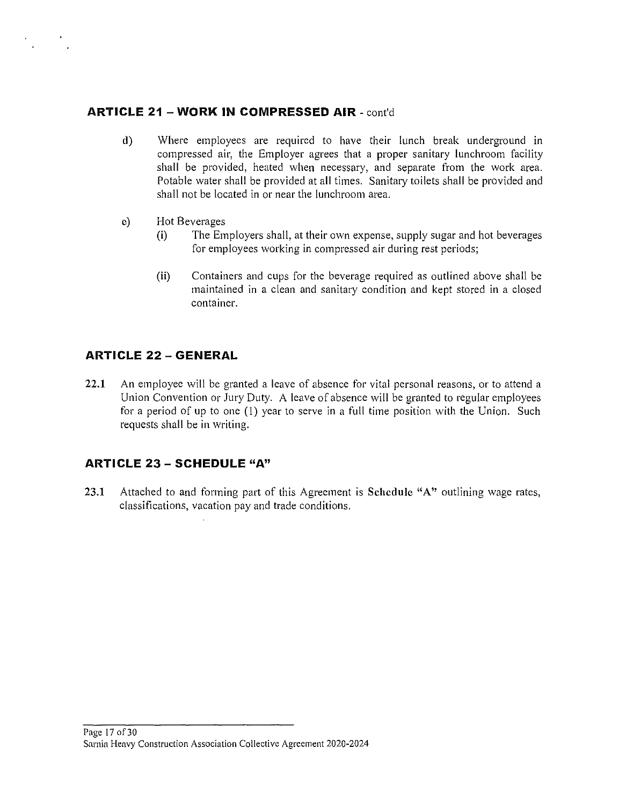#### **ARTICLE 21 - WORK IN COMPRESSED AIR** - cont'd

- **d)** Where employees are required to have their lunch break underground in compressed air, the Employer agrees that a proper sanitary lunchroom facility shall be provided, heated when necessary, and separate from the work area. Potable water shall be provided at all times. Sanitary toilets shall be provided and shall not be located in or near the lunchroom area.
- e) Hot Beverages
	- **(i)** The Employers shall, at their own expense, supply sugar and hot beverages for employees working in compressed air during rest periods;
	- (ii) Containers and cups for the beverage required as outlined above shall be maintained in a clean and sanitary condition and kept stored in a closed **container.**

## **ARTICLE 22 - GENERAL**

**22.1** An employee will be granted a leave of absence for vital personal reasons, or to attend a Union Convention or Jury Duty. A leave of absence will be granted to regular employees for a period of up to one (l) year to serve in a full time position with the Union. Such requests shall be in writing.

#### **ARTICLE 23 - SCHEDULE "A"**

**23.1** Attached to and forming part of this Agreement is **Schedule** "A" outlining wage rates, classifications, vacation pay and trade conditions.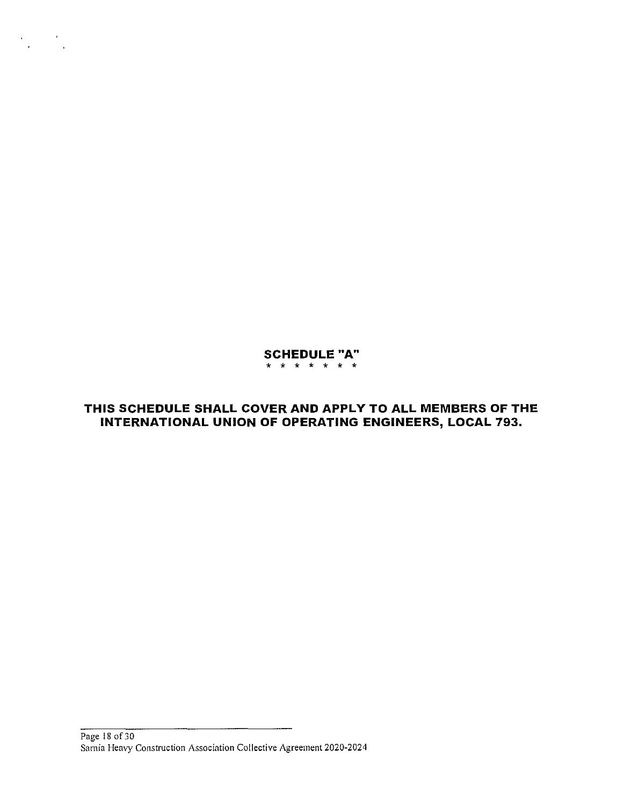#### SCHEDULE "A" \* \* \* \* \* \* \*

## THIS SCHEDULE SHALL COVER AND APPLY TO ALL MEMBERS OF THE INTERNATIONAL UNION OF OPERATING ENGINEERS, LOCAL 793.

 $\label{eq:2} \begin{array}{l} \mathcal{L}_{\text{max}}(\mathcal{L}_{\text{max}}) = \mathcal{L}_{\text{max}} \\ \mathcal{L}_{\text{max}}(\mathcal{L}_{\text{max}}) = \mathcal{L}_{\text{max}} \\ \mathcal{L}_{\text{max}}(\mathcal{L}_{\text{max}}) = \mathcal{L}_{\text{max}} \\ \mathcal{L}_{\text{max}}(\mathcal{L}_{\text{max}}) = \mathcal{L}_{\text{max}} \\ \mathcal{L}_{\text{max}}(\mathcal{L}_{\text{max}}) = \mathcal{L}_{\text{max}} \\ \mathcal{L}_{\text{max}}(\mathcal{L}_{\text{max}}) = \math$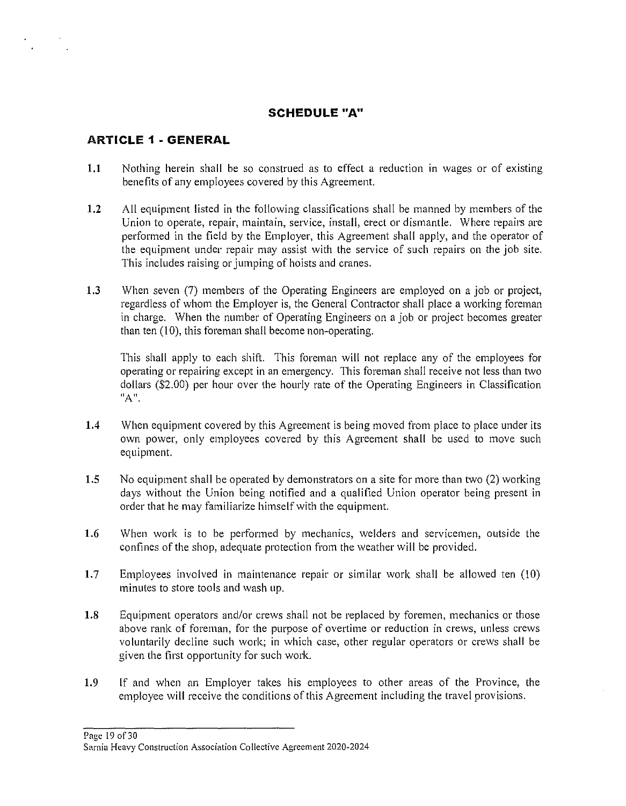## **SCHEDULE "A"**

## **ARTICLE 1 ·GENERAL**

- **1.1** Nothing herein shall be so construed as to effect a reduction in wages or of existing benefits of any employees covered by this Agreement.
- **1.2** All equipment listed in the following classifications shall be manned by members of the Union to operate, repair, maintain, service, install, erect or dismantle. Where repairs are performed in the field by the Employer, this Agreement shall apply, and the operator of the equipment under repair may assist with the service of such repairs on the job site. This includes raising or jumping of hoists and cranes.
- **1.3** When seven (7) members of the Operating Engineers are employed on a job or project, regardless of whom the Employer is, the General Contractor shall place a working foreman in charge. When the number of Operating Engineers on a job or project becomes greater than ten  $(10)$ , this foreman shall become non-operating.

This shall apply to each shift. This foreman will not replace any of the employees for operating or repairing except in an emergency. This foreman shall receive not less than two dollars (\$2.00) per hour over the hourly rate of the Operating Engineers in Classification **11A11.** 

- **1.4** When equipment covered by this Agreement is being moved from place to place under its own power, only employees covered by this Agreement shall be used to move such equipment.
- **1.5** No equipment shall be operated by demonstrators on a site for more than two (2) working days without the Union being notified and a qualified Union operator being present in order that he may familiarize himself with the equipment.
- **1.6** When work is to be performed by mechanics, welders and servicemen, outside the confines of the shop, adequate protection from the weather will be provided.
- 1.7 Employees involved in maintenance repair or similar work shall be allowed ten (10) minutes to store tools and wash up.
- **1.8** Equipment operators and/or crews shall not be replaced by foremen, mechanics or those above rank of foreman, for the purpose of overtime or reduction in crews, unless crews voluntarily decline such work; in which case, other regular operators or crews shall be given the first opportunity for such work.
- **1.9** If and when an Employer takes his employees to other areas of the Province, the employee will receive the conditions of this Agreement including the travel provisions.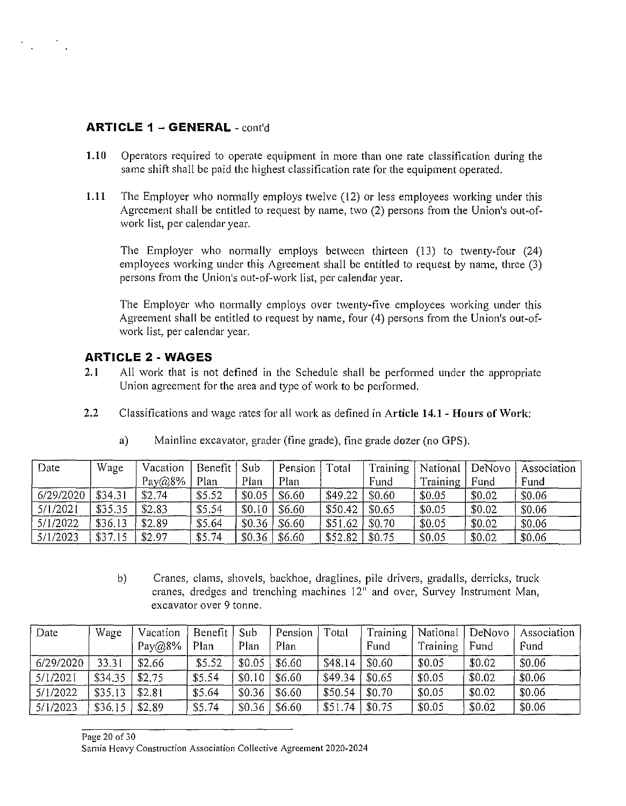#### **ARTICLE 1 - GENERAL** - cont'd

- **1.10** Operators required to operate equipment in more than one rate classification during the same shift shall be paid the highest classification rate for the equipment operated.
- **1.11** The Employer who normally employs twelve (12) or less employees working under this Agreement shall be entitled to request by name, two (2) persons from the Union's out-ofwork list, per calendar year.

The Employer who normally employs between thirteen (13) to twenty-four (24) employees working under this Agreement shall be entitled to request by name, three (3) persons from the Union's out-of-work list, per calendar year.

The Employer who normally employs over twenty-five employees working under this Agreement shall be entitled to request by name, four (4) persons from the Union's out-ofwork list, per calendar year.

#### **ARTICLE 2 - WAGES**

- **2.1** All work that is not defined in the Schedule shall be performed under the appropriate Union agreement for the area and type of work to be performed.
- 2.2 Classifications and wage rates for all work as defined in Article **14.1 - Hours of Work:**

| Date      | Wage    | Vacation  | Benefit | Sub    | Pension | Total   | Training | National | DeNovo | Association |
|-----------|---------|-----------|---------|--------|---------|---------|----------|----------|--------|-------------|
|           |         | $Pay@8\%$ | Plan    | Plan   | Plan    |         | Fund     | Training | Fund   | Fund        |
| 6/29/2020 | \$34.31 | \$2.74    | \$5.52  | \$0.05 | \$6.60  | \$49.22 | \$0.60   | \$0.05   | \$0.02 | \$0.06      |
| 5/1/2021  | \$35.35 | \$2.83    | \$5.54  | \$0.10 | \$6.60  | \$50.42 | \$0.65   | \$0.05   | \$0.02 | \$0.06      |
| 5/1/2022  | \$36.13 | \$2.89    | \$5.64  | \$0.36 | \$6.60  | \$51.62 | \$0.70   | \$0.05   | \$0.02 | \$0.06      |
| 5/1/2023  | \$37.15 | \$2.97    | \$5.74  | \$0.36 | \$6.60  | \$52.82 | \$0.75   | \$0.05   | \$0.02 | \$0.06      |

a) Mainline excavator, grader (fine grade), fine grade dozer (no OPS).

b) Cranes, clams, shovels, backhoe, draglines, pile drivers, gradalls, derricks, truck cranes, dredges and trenching machines 12" and over, Survey Instrument Man, excavator over 9 tonne.

| Date      | Wage    | Vacation<br>$Pay@8\%$ | Benefit,<br>Plan | Sub<br>Plan | Pension<br>Plan | Total   | Training  <br>Fund | National<br>Training | DeNovo<br>Fund | Association<br>Fund |
|-----------|---------|-----------------------|------------------|-------------|-----------------|---------|--------------------|----------------------|----------------|---------------------|
| 6/29/2020 | 33.31   | \$2.66                | \$5.52           | \$0.05      | \$6.60          | \$48.14 | \$0.60             | \$0.05               | \$0.02         | \$0.06              |
| 5/1/2021  | \$34.35 | \$2.75                | \$5.54           | \$0.10      | \$6.60          | \$49.34 | \$0.65             | \$0.05               | \$0.02         | \$0.06              |
| 5/1/2022  | \$35.13 | \$2.81                | \$5,64           | \$0.36      | \$6.60          | \$50.54 | \$0.70             | \$0.05               | \$0.02         | \$0.06              |
|           |         |                       |                  |             |                 |         |                    |                      |                |                     |
| 5/1/2023  | \$36.15 | \$2.89                | \$5.74           | \$0.36      | \$6.60          | \$51.74 | \$0.75             | \$0.05               | \$0.02         | \$0.06              |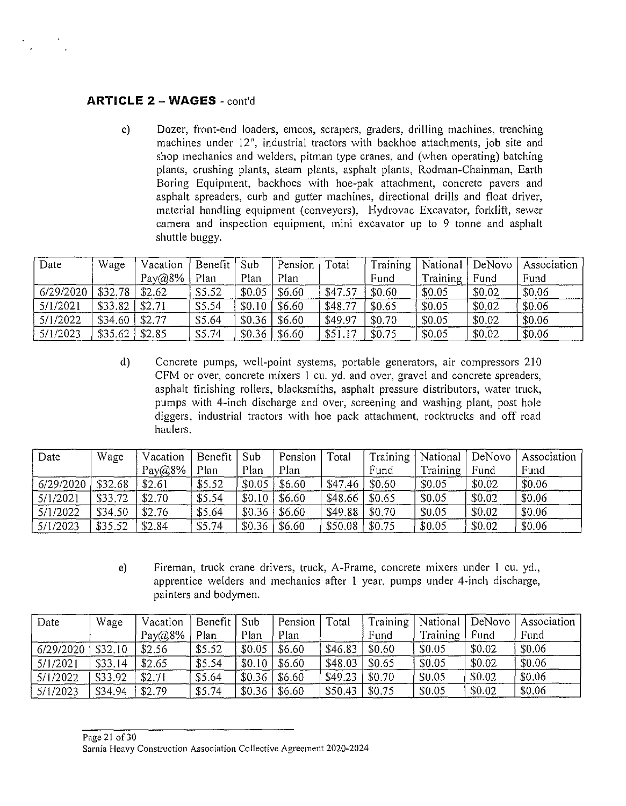#### **ARTICLE 2 - WAGES** - cont'd

c) Dozer, front-end loaders, emcos, scrapers, graders, drilling machines, trenching machines under 12", industrial tractors with backhoe attachments, job site and shop mechanics and welders, pitman type cranes, and (when operating) batching plants, crushing plants, steam plants, asphalt plants, Rodman-Chainman, Earth Boring Equipment, backhoes with hoe-pak attachment, concrete pavers and asphalt spreaders, curb and gutter machines, directional drills and float driver, material handling equipment (conveyors), Hydrovac Excavator, forklift, sewer camera and inspection equipment, mini excavator up to 9 tonne and asphalt shuttle buggy.

| Date      | Wage    | Vacation  | Benefit $\vert$ Sub |        | Pension | Total       | Training | National | DeNovo | Association |
|-----------|---------|-----------|---------------------|--------|---------|-------------|----------|----------|--------|-------------|
|           |         | $Pay@8\%$ | Plan                | Plan   | Plan    |             | Fund     | Training | Fund   | Fund        |
| 6/29/2020 | \$32.78 | \$2.62    | \$5.52              | \$0.05 | \$6.60  | \$47.57     | \$0.60   | \$0.05   | \$0.02 | \$0.06      |
| 5/1/2021  | \$33.82 | \$2.71    | \$5.54              | \$0.10 | \$6.60  | \$48.77     | \$0.65   | \$0.05   | \$0.02 | \$0.06      |
| 5/1/2022  | \$34.60 | \$2.77    | \$5.64              | \$0.36 | \$6.60  | \$49.97     | \$0.70   | \$0.05   | \$0.02 | \$0.06      |
| 5/1/2023  | \$35.62 | \$2.85    | \$5.74              | \$0.36 | \$6.60  | $.$ \$51.17 | \$0.75   | \$0.05   | \$0.02 | \$0.06      |

d) Concrete pumps, well-point systems, portable generators, air compressors 210 CFM or over, concrete mixers 1 cu. yd. and over, gravel and concrete spreaders, asphalt finishing rollers, blacksmiths, asphalt pressure distributors, water truck, pumps with 4-inch discharge and over, screening and washing plant, post hole diggers, industrial tractors with hoe pack attachment, rocktrucks and off road haulers.

| Date      | Wage    | Vacation  | Benefit | Sub    | Pension | Total   | Training |                 | National   DeNovo | Association, |
|-----------|---------|-----------|---------|--------|---------|---------|----------|-----------------|-------------------|--------------|
|           |         | $Pay@8\%$ | Plan    | Plan   | Plan    |         | Fund     | Training   Fund |                   | Fund         |
| 6/29/2020 | \$32.68 | \$2.61    | \$5.52  | \$0.05 | \$6.60  | \$47.46 | \$0.60   | \$0.05          | \$0.02            | \$0.06       |
| 5/1/2021  | \$33.72 | \$2.70    | \$5.54  | \$0.10 | \$6.60  | \$48.66 | \$0.65   | \$0.05          | \$0.02            | \$0.06       |
| 5/1/2022  | \$34.50 | \$2.76    | \$5.64  | \$0.36 | \$6.60  | \$49.88 | \$0.70   | \$0.05          | \$0.02            | \$0.06       |
| 5/1/2023  | \$35.52 | \$2.84    | \$5.74  | \$0.36 | \$6.60  | \$50.08 | \$0.75   | \$0.05          | \$0.02            | \$0.06       |

e) Fireman, truck crane drivers, truck, A-Frame, concrete mixers under 1 cu. yd., apprentice welders and mechanics after 1 year, pumps under 4-inch discharge, painters and bodymen.

| Date      | Wage    | Vacation  | Benefit | Sub    | Pension | Total   | Training | National        | DeNovo | Association |
|-----------|---------|-----------|---------|--------|---------|---------|----------|-----------------|--------|-------------|
|           |         | $Pay@8\%$ | Plan    | Plan   | Plan    |         | Fund     | <b>Training</b> | Fund   | Fund        |
| 6/29/2020 | \$32.10 | \$2.56    | \$5.52  | \$0.05 | \$6.60  | \$46.83 | \$0.60   | \$0.05          | \$0.02 | \$0.06      |
| 5/1/2021  | \$33.14 | \$2.65    | \$5.54  | \$0.10 | \$6.60  | \$48.03 | \$0.65   | \$0.05          | \$0.02 | \$0.06      |
| 5/1/2022  | \$33.92 | \$2.71    | \$5.64  | \$0.36 | \$6.60  | \$49.23 | \$0.70   | \$0.05          | \$0.02 | \$0.06      |
| 5/1/2023  | \$34.94 | \$2.79    | \$5.74  | \$0.36 | \$6.60  | \$50.43 | \$0.75   | \$0.05          | \$0.02 | \$0.06      |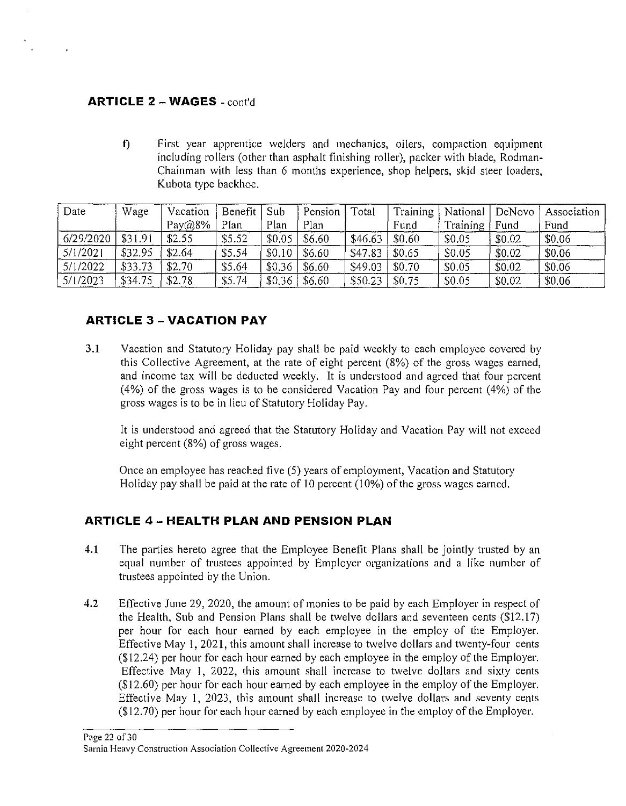#### **ARTICLE 2 - WAGES** - cont'd

**f)** First year apprentice welders and mechanics, oilers, compaction equipment including rollers (other than asphalt finishing roller), packer with blade, Rodman-Chainman with less than *6* months experience, shop helpers, skid steer loaders, Kubota type backhoe.

| Date      | Wage    | Vacation | Benefit | Sub    | Pension | Total   | Training | National | DeNovo | Association |
|-----------|---------|----------|---------|--------|---------|---------|----------|----------|--------|-------------|
|           |         | Pay@8%   | Plan    | Plan   | Plan    |         | Fund     | Training | Fund   | Fund        |
| 6/29/2020 | \$31.91 | \$2.55   | \$5.52  | \$0.05 | \$6.60  | \$46.63 | \$0.60   | \$0.05   | \$0.02 | \$0.06      |
| 5/1/2021  | \$32.95 | \$2.64   | \$5.54  | \$0,10 | \$6.60  | \$47.83 | \$0.65   | \$0.05   | \$0.02 | \$0.06      |
| 5/1/2022  | \$33.73 | \$2.70   | \$5.64  | \$0.36 | \$6.60  | \$49.03 | \$0.70   | \$0.05   | \$0.02 | \$0.06      |
| 5/1/2023  | \$34.75 | \$2.78   | \$5.74  | \$0.36 | \$6.60  | \$50.23 | \$0.75   | \$0.05   | \$0.02 | \$0.06      |

## **ARTICLE 3 - VACATION PAY**

**3.1** Vacation and Statutory Holiday pay shall be paid weekly to each employee covered by this Collective Agreement, at the rate of eight percent (8%) of the gross wages earned, and income tax will be deducted weekly. It is understood and agreed that four percent (4%) of the gross wages is to be considered Vacation Pay and four percent (4%) of the gross wages is to be in lieu of Statutory Holiday Pay.

It is understood and agreed that the Statutory Holiday and Vacation Pay will not exceed eight percent (8%) of gross wages.

Once an employee has reached five (5) years of employment, Vacation and Statutory Holiday pay shall be paid at the rate of 10 percent (10%) of the gross wages earned.

## **ARTICLE 4 - HEAL TH PLAN AND PENSION PLAN**

- **4.1** The parties hereto agree that the Employee Benefit Plans shall be jointly trusted by an equal number of trustees appointed by Employer organizations and a like number of trustees appointed by the Union.
- **4.2** Effective June 29, 2020, the amount of monies to be paid by each Employer in respect of the Health, Sub and Pension Plans shall be twelve dollars and seventeen cents (\$12.17) per hour for each hour earned by each employee in the employ of the Employer. Effective May l, 2021, this amount shall increase to twelve dollars and twenty-four cents (\$12.24) per hour for each hour earned by each employee in the employ of the Employer. Effective May l, 2022, this amount shall increase to twelve dollars and sixty cents (\$12.60) per hour for each hour earned by each employee in the employ of the Employer. Effective May I, 2023, this amount shall increase to twelve dollars and seventy cents (\$12. 70) per hour for each hour earned by each employee in the employ of the Employer.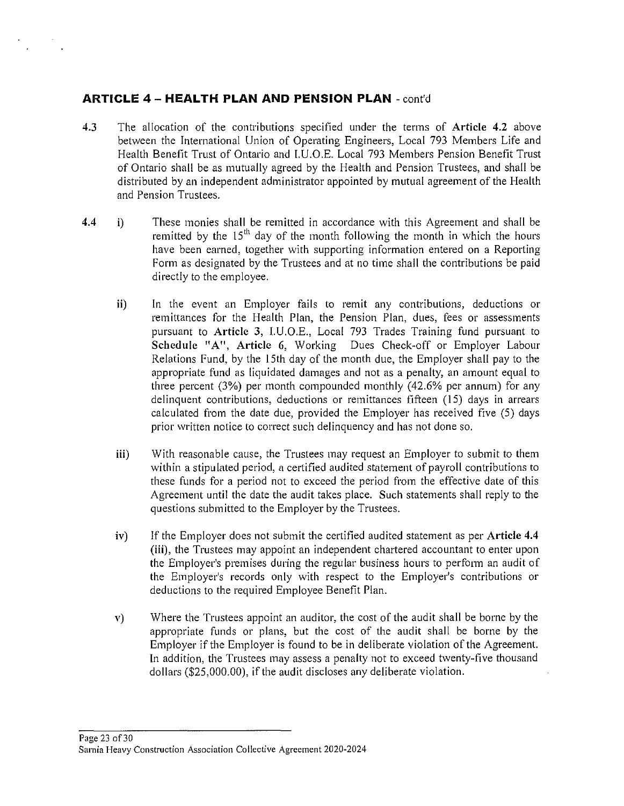## **ARTICLE 4 - HEAL TH PLAN AND PENSION PLAN** - cont'd

- **4.3** The allocation of the contributions specified under the terms of **Article 4.2** above between the International Union of Operating Engineers, Local 793 Members Life and Health Benefit Trust of Ontario and I.U.O.E. Local 793 Members Pension Benefit Trust of Ontario shall be as mutually agreed by the Health and Pension Trustees, and shall be distributed by an independent administrator appointed by mutual agreement of the Health and Pension Trustees.
- **4.4 i)** These monies shall be remitted in accordance with this Agreement and shall be remitted by the  $15<sup>th</sup>$  day of the month following the month in which the hours have been earned, together with supporting information entered on a Reporting Form as designated by the Trustees and at no time shall the contributions be paid directly to the employee.
	- **ii)** In the event an Employer fails to remit any contributions, deductions or remittances for the Health Plan, the Pension Plan, dues, fees or assessments pursuant to **Article** 3, 1.U.0.E., Local 793 Trades Training fund pursuant to **Schedule** "A", **Article** 6, Working Dues Check-off or Employer Labour Relations Fund, by the 15th day of the month due, the Employer shall pay to the appropriate fund as liquidated damages and not as a penalty, an amount equal to three percent (3%) per month compounded monthly (42.6% per annum) for any delinquent contributions, deductions or remittances fifteen (15) days in arrears calculated from the date due, provided the Employer has received five (5) days prior written notice to correct such delinquency and has not done so.
	- **iii)** With reasonable cause, the Trustees may request an Employer to submit to them within a stipulated period, a certified audited statement of payroll contributions to these funds for a period not to exceed the period from the effective date of this Agreement until the date the audit takes place. Such statements shall reply to the questions submitted to the Employer by the Trustees.
	- iv) If the Employer does not submit the certified audited statement as per **Article 4.4 (iii),** the Trustees may appoint an independent chartered accountant to enter upon the Employer's premises during the regular business hours to perform an audit of the Employer's records only with respect to the Employer's contributions or deductions to the required Employee Benefit Plan.
	- v) Where the Trustees appoint an auditor, the cost of the audit shall be borne by the appropriate funds or plans, but the cost of the audit shall be borne by the Employer if the Employer is found to be in deliberate violation of the Agreement. In addition, the Trustees may assess a penalty not to exceed twenty-five thousand dollars (\$25,000.00), if the audit discloses any deliberate violation.

#### **Page 23 of 30**  Sarnia Heavy Construction Association Collective Agreement 2020-2024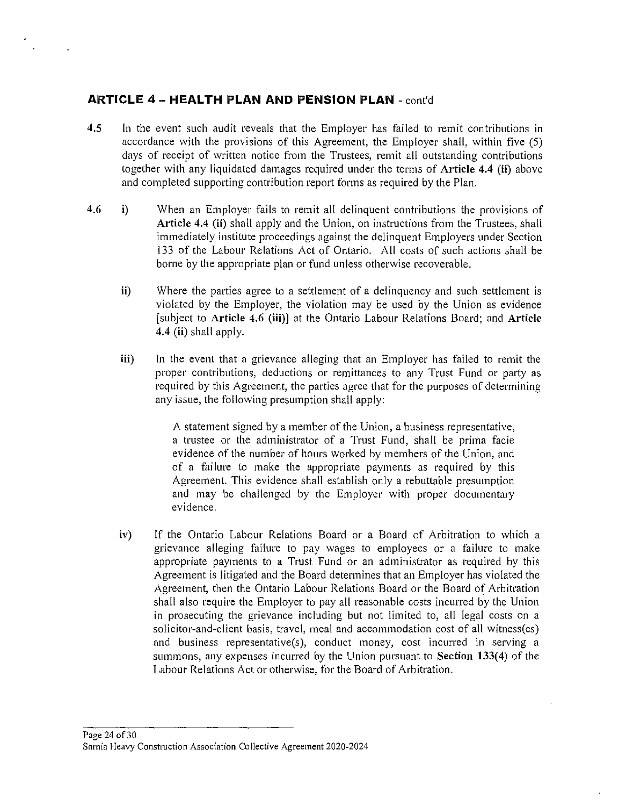## **ARTICLE 4 - HEAL TH PLAN AND PENSION PLAN** - cont'd

- **4.5** In the event such audit reveals that the Employer has failed to remit contributions in accordance with the provisions of this Agreement, the Employer shall, within five (5) days of receipt of written notice from the Trustees, remit all outstanding contributions together with any liquidated damages required under the terms of **Article 4.4** (ii) above and completed supporting contribution report forms as required by the Plan.
- **4.6 i)** When an Employer fails to remit all delinquent contributions the provisions of **Article 4.4 (ii)** shall apply and the Union, on instructions from the Trustees, shall immediately institute proceedings against the delinquent Employers under Section 133 of the Labour Relations Act of Ontario. All costs of such actions shall be borne by the appropriate plan or fund unless otherwise recoverable.
	- **ii)** Where the parties agree to a settlement of a delinquency and such settlement is violated by the Employer, the violation may be used by the Union as evidence [subject to **Article 4.6 (iii)]** at the Ontario Labour Relations Board; and **Article 4.4 (ii)** shall apply.
	- iii) In the event that a grievance alleging that an Employer has failed to remit the proper contributions, deductions or remittances to any Trust Fund or party as required by this Agreement, the parties agree that for the purposes of determining any issue, the following presumption shall apply:

A statement signed by a member of the Union, a business representative, a trustee or the administrator of a Trust Fund, shall be prima facie evidence of the number of hours worked by members of the Union, and of a failure to make the appropriate payments as required by this Agreement. This evidence shall establish only a rebuttable presumption and may be challenged by the Employer with proper documentary evidence.

iv) If the Ontario Labour Relations Board or a Board of Arbitration to which a grievance alleging failure to pay wages to employees or a failure to make appropriate payments to a Trust Fund or an administrator as required by this Agreement is litigated and the Board determines that an Employer has violated the Agreement, then the Ontario Labour Relations Board or the Board of Arbitration shall also require the Employer to pay all reasonable costs incurred by the Union in prosecuting the grievance including but not limited to, all legal costs on a solicitor-and-client basis, travel, meal and accommodation cost of all witness(es) and business representative(s), conduct money, cost incurred in serving a summons, any expenses incurred by the Union pursuant to **Section 133(4)** of the Labour Relations Act or otherwise, for the Board of Arbitration.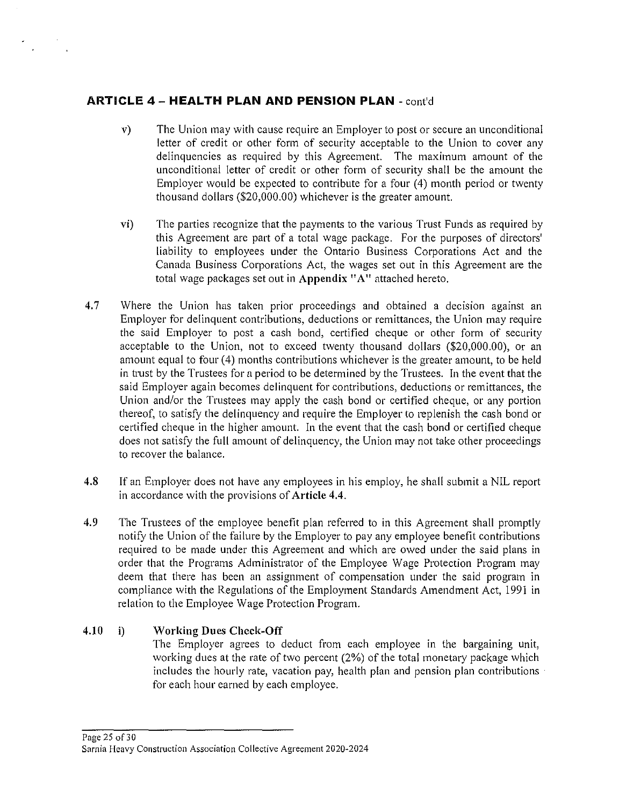## **ARTICLE 4- HEALTH PLAN AND PENSION PLAN** - cont'd

- v) The Union may with cause require an Employer to post or secure an unconditional letter of credit or other form of security acceptable to the Union to cover any delinquencies as required by this Agreement. The maximum amount of the unconditional letter of credit or other form of security shall be the amount the Employer would be expected to contribute for a four (4) month period or twenty thousand dollars (\$20,000.00) whichever is the greater amount.
- vi) The parties recognize that the payments to the various Trust Funds as required by this Agreement are part of a total wage package. For the purposes of directors' liability to employees under the Ontario Business Corporations Act and the Canada Business Corporations Act, the wages set out in this Agreement are the total wage packages set out in **Appendix** "A" attached hereto.
- **4.7** Where the Union has taken prior proceedings and obtained a decision against an Employer for delinquent contributions, deductions or remittances, the Union may require the said Employer to post a cash bond, certified cheque or other form of security acceptable to the Union, not to exceed twenty thousand dollars (\$20,000.00), or an amount equal to four (4) months contributions whichever is the greater amount, to be held in trust by the Trustees for a period to be determined by the Trustees. In the event that the said Employer again becomes delinquent for contributions, deductions or remittances, the Union and/or the Trustees may apply the cash bond or certified cheque, or any portion thereof, to satisfy the delinquency and require the Employer to replenish the cash bond or certified cheque in the higher amount. In the event that the cash bond or certified cheque does not satisfy the full amount of delinquency, the Union may not take other proceedings to recover the balance.
- **4.8** If an Employer does not have any employees in his employ, he shall submit a NIL report in accordance with the provisions of **Article 4.4.**
- **4.9** The Trustees of the employee benefit plan referred to in this Agreement shall promptly notify the Union of the failure by the Employer to pay any employee benefit contributions required to be made under this Agreement and which are owed under the said plans in order that the Programs Administrator of the Employee Wage Protection Program may deem that there has been an assignment of compensation under the said program in compliance with the Regulations of the Employment Standards Amendment Act, 1991 in relation to the Employee Wage Protection Program.

#### **4.10 i) Working Dues Check-Off**

The Employer agrees to deduct from each employee in the bargaining unit, working dues at the rate of two percent (2%) of the total monetary package which includes the hourly rate, vacation pay, health plan and pension plan contributions for each hour earned by each employee.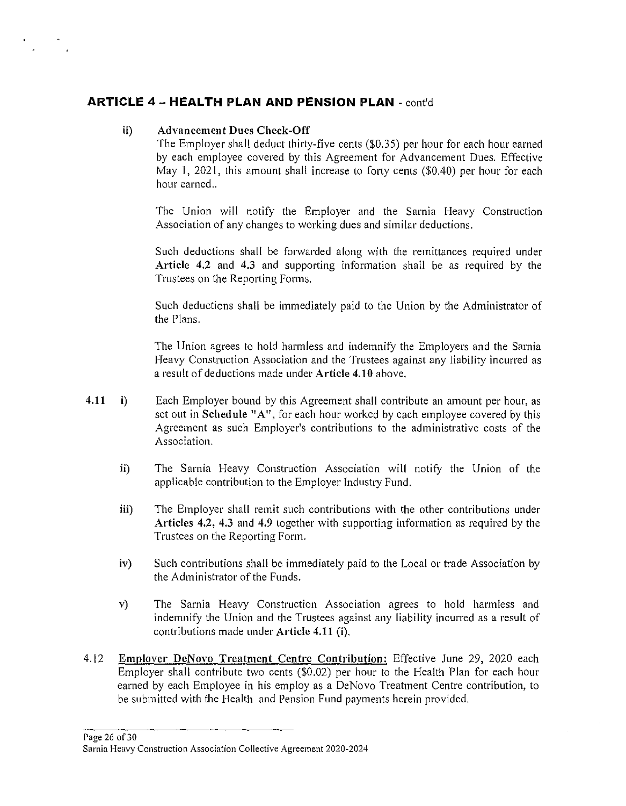## **ARTICLE 4 - HEAL TH PLAN AND PENSION PLAN** - cont'd

#### ii) Advancement Dues Check-Off

The Employer shall deduct thirty-five cents (\$0.35) per hour for each hour earned by each employee covered by this Agreement for Advancement Dues. Effective May 1, 2021, this amount shall increase to forty cents (\$0.40) per hour for each hour earned..

The Union will notify the Employer and the Sarnia Heavy Construction Association of any changes to working dues and similar deductions.

Such deductions shall be forwarded along with the remittances required under Article 4.2 and 4.3 and supporting information shall be as required by the Trustees on the Reporting Forms.

Such deductions shall be immediately paid to the Union by the Administrator of the Plans.

The Union agrees to hold harmless and indemnify the Employers and the Sarnia Heavy Construction Association and the Trustees against any liability incurred as a result of deductions made under Article 4.10 above.

- **4.11 i)**  Each Employer bound by this Agreement shall contribute an amount per hour, as set out in Schedule "A", for each hour worked by each employee covered by this Agreement as such Employer's contributions to the administrative costs of the Association.
	- ii) The Sarnia Heavy Construction Association will notify the Union of the applicable contribution to the Employer Industry Fund.
	- iii) The Employer shall remit such contributions with the other contributions under Articles 4.2, 4.3 and 4.9 together with supporting information as required by the Trustees on the Reporting Form.
	- iv) Such contributions shall be immediately paid to the Local or trade Association by the Administrator of the Funds.
	- v) The Sarnia Heavy Construction Association agrees to hold harmless and indemnify the Union and the Trustees against any liability incurred as a result of contributions made under Article **4.11** (i).
- 4.12 Employer DeNovo Treatment Centre Contribution: Effective June 29, 2020 each Employer shall contribute two cents (\$0.02) per hour to the Health Plan for each hour earned by each Employee in his employ as a DeNovo Treatment Centre contribution, to be submitted with the Health and Pension Fund payments herein provided.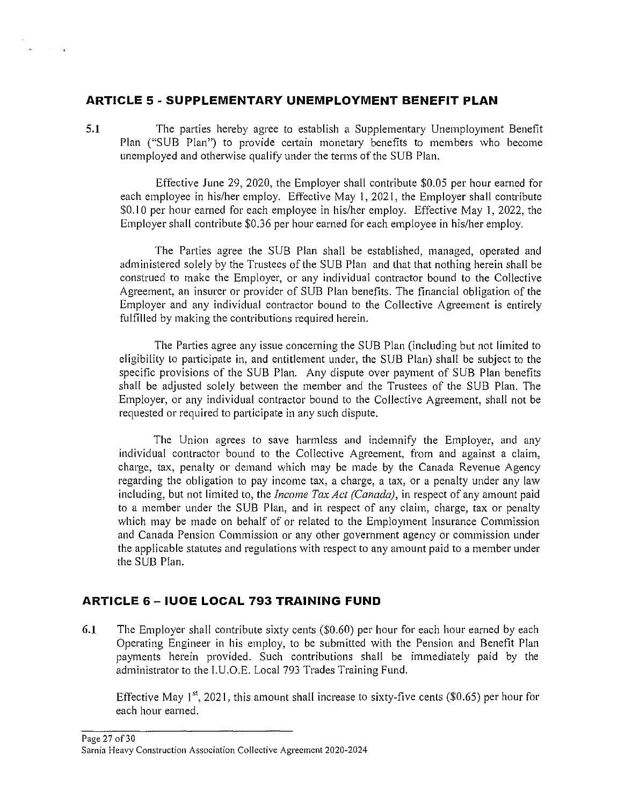#### **ARTICLE 5 ·SUPPLEMENTARY UNEMPLOYMENT BENEFIT PLAN**

5.1 The parties hereby agree to establish a Supplementary Unemployment Benefit Plan ("SUB Plan") to provide certain monetary benefits to members who become unemployed and otherwise qualify under the terms of the SUB Plan.

Effective June 29, 2020, the Employer shall contribute \$0.05 per hour earned for each employee in his/her employ. Effective May l, 2021, the Employer shall contribute \$0.10 per hour earned for each employee in his/her employ. Effective May 1, 2022, the Employer shall contribute \$0.36 per hour earned for each employee in his/her employ.

The Parties agree the SUB Plan shall be established, managed, operated and administered solely by the Trustees of the SUB Plan and that that nothing herein shall be construed to make the Employer, or any individual contractor bound to the Collective Agreement, an insurer or provider of SUB Plan benefits. The financial obligation of the Employer and any individual contractor bound to the Collective Agreement is entirely fulfilled by making the contributions required herein.

The Parties agree any issue concerning the SUB Plan (including but not limited to eligibility to participate in, and entitlement under, the SUB Plan) shall be subject to the specific provisions of the SUB Plan. Any dispute over payment of SUB Plan benefits shall be adjusted solely between the member and the Trustees of the SUB Plan. The Employer, or any individual contractor bound to the Collective Agreement, shall not be requested or required to participate in any such dispute.

The Union agrees to save harmless and indemnify the Employer, and any individual contractor bound to the Collective Agreement, from and against a claim, charge, tax, penalty or demand which may be made by the Canada Revenue Agency regarding the obligation to pay income tax, a charge, a tax, or a penalty under any law including, but not limited to, the *Income Tax Act (Canada),* in respect of any amount paid to a member under the SUB Plan, and in respect of any claim, charge, tax or penalty which may be made on behalf of or related to the Employment Insurance Commission and Canada Pension Commission or any other government agency or commission under the applicable statutes and regulations with respect to any amount paid to a member under the SUB Plan.

## **ARTICLE 6 - IUOE LOCAL 793 TRAINING FUND**

6.1 The Employer shall contribute sixty cents (\$0.60) per hour for each hour earned by each Operating Engineer in his employ, to be submitted with the Pension and Benefit Plan payments herein provided. Such contributions shall be immediately paid by the administrator to the I.U.O.E. Local 793 Trades Training Fund.

Effective May  $1^{st}$ , 2021, this amount shall increase to sixty-five cents (\$0.65) per hour for each hour earned.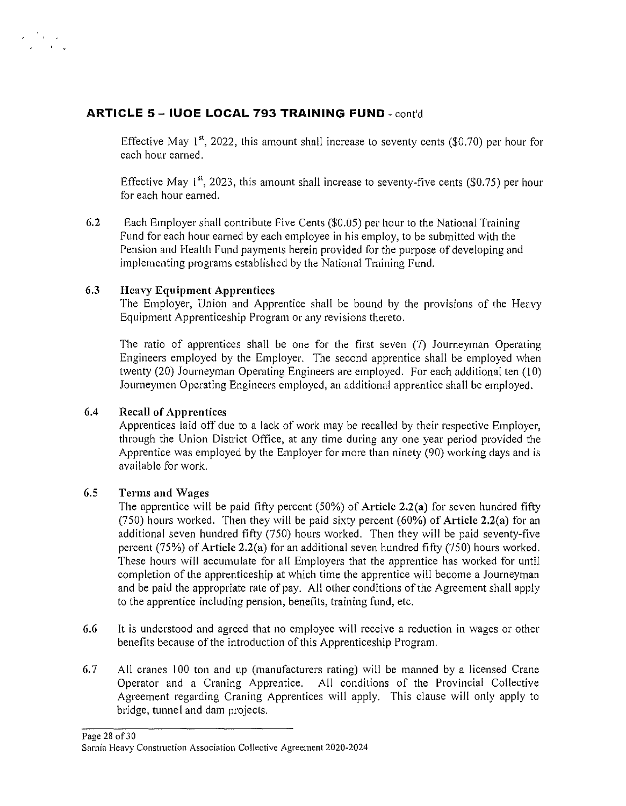## **ARTICLE 5 - IUOE LOCAL 793 TRAINING FUND** - cont'd

Effective May  $1^{st}$ , 2022, this amount shall increase to seventy cents (\$0.70) per hour for each hour earned.

Effective May  $1^{st}$ , 2023, this amount shall increase to seventy-five cents (\$0.75) per hour for each hour earned.

6.2 Each Employer shall contribute Five Cents (\$0.05) per hour to the National Training Fund for each hour earned by each employee in his employ, to be submitted with the Pension and Health Fund payments herein provided for the purpose of developing and implementing programs established by the National Training Fund.

#### 6.3 Heavy Equipment Apprentices

 $\sim 10^{-11}$ 

The Employer, Union and Apprentice shall be bound by the provisions of the Heavy Equipment Apprenticeship Program or any revisions thereto.

The ratio of apprentices shall be one for the first seven (7) Journeyman Operating Engineers employed by the Employer. The second apprentice shall be employed when twenty (20) Journeyman Operating Engineers are employed. For each additional ten (10) Journeymen Operating Engineers employed, an additional apprentice shall be employed.

#### 6.4 Recall of Apprentices

Apprentices laid off due to a lack of work may be recalled by their respective Employer, through the Union District Office, at any time during any one year period provided the Apprentice was employed by the Employer for more than ninety (90) working days and is available for work.

#### 6.5 Terms and Wages

The apprentice will be paid fifty percent (50%) of Article  $2.2(a)$  for seven hundred fifty (750) hours worked. Then they will be paid sixty percent (60%) of Article  $2.2(a)$  for an additional seven hundred fifty (750) hours worked. Then they will be paid seventy-five percent (75%) of Article 2.2(a) for an additional seven hundred fifty (750) hours worked. These hours will accumulate for all Employers that the apprentice has worked for until completion of the apprenticeship at which time the apprentice will become a Journeyman and be paid the appropriate rate of pay. All other conditions of the Agreement shall apply to the apprentice including pension, benefits, training fund, etc.

- 6.6 It is understood and agreed that no employee will receive a reduction in wages or other benefits because of the introduction of this Apprenticeship Program.
- 6.7 All cranes 100 ton and up (manufacturers rating) will be manned by a licensed Crane Operator and a Craning Apprentice. All conditions of the Provincial Collective Agreement regarding Craning Apprentices will apply. This clause will only apply to bridge, tunnel and dam projects.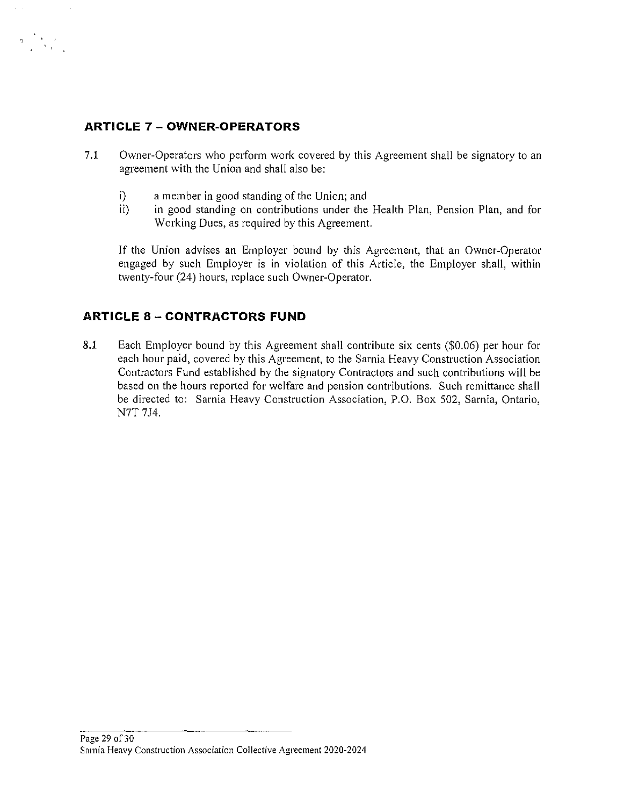## **ARTICLE 7 - OWNER-OPERATORS**

 $\label{eq:2} \alpha = \frac{\lambda}{\lambda} \frac{1}{\lambda} \frac{1}{\lambda} \frac{1}{\lambda} \frac{1}{\lambda} \frac{1}{\lambda}$ 

- 7.1 Owner-Operators who perform work covered by this Agreement shall be signatory to an agreement with the Union and shall also be:
	- i) a member in good standing of the Union; and
	- ii) in good standing on contributions under the Health Plan, Pension Plan, and for Working Dues, as required by this Agreement.

If the Union advises an Employer bound by this Agreement, that an Owner-Operator engaged by such Employer is in violation of this Article, the Employer shall, within twenty-four (24) hours, replace such Owner-Operator.

## **ARTICLE 8 - CONTRACTORS FUND**

8.1 Each Employer bound by this Agreement shall contribute six cents (\$0.06) per hour for each hour paid, covered by this Agreement, to the Sarnia Heavy Construction Association Contractors Fund established by the signatory Contractors and such contributions will be based on the hours reported for welfare and pension contributions. Such remittance shall be directed to: Sarnia Heavy Construction Association, P.O. Box 502, Sarnia, Ontario, N7T 7J4.